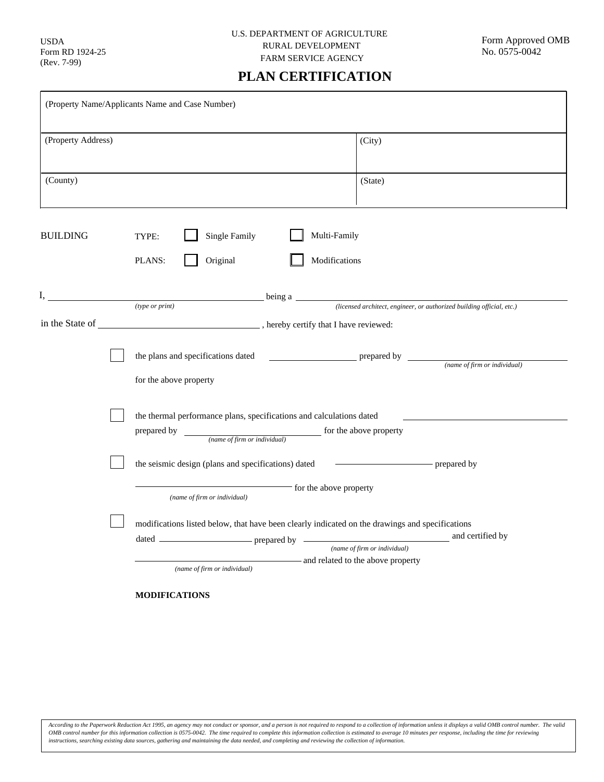USDA Form RD 1924-25 (Rev. 7-99)

## **PLAN CERTIFICATION**

| (Property Name/Applicants Name and Case Number) |                                                                                                                                                                                                                                                                                                                                                                                                                                              |                                                                                                                                                                                                                                                                                                                                                                                                                                   |
|-------------------------------------------------|----------------------------------------------------------------------------------------------------------------------------------------------------------------------------------------------------------------------------------------------------------------------------------------------------------------------------------------------------------------------------------------------------------------------------------------------|-----------------------------------------------------------------------------------------------------------------------------------------------------------------------------------------------------------------------------------------------------------------------------------------------------------------------------------------------------------------------------------------------------------------------------------|
| (Property Address)                              |                                                                                                                                                                                                                                                                                                                                                                                                                                              | (City)                                                                                                                                                                                                                                                                                                                                                                                                                            |
| (County)                                        |                                                                                                                                                                                                                                                                                                                                                                                                                                              | (State)                                                                                                                                                                                                                                                                                                                                                                                                                           |
| <b>BUILDING</b>                                 | Multi-Family<br><b>Single Family</b><br>TYPE:<br>Original<br>Modifications<br>PLANS:                                                                                                                                                                                                                                                                                                                                                         |                                                                                                                                                                                                                                                                                                                                                                                                                                   |
| I,                                              |                                                                                                                                                                                                                                                                                                                                                                                                                                              |                                                                                                                                                                                                                                                                                                                                                                                                                                   |
|                                                 | the plans and specifications dated<br>for the above property                                                                                                                                                                                                                                                                                                                                                                                 | $\frac{1}{\sqrt{1-\frac{1}{\sqrt{1-\frac{1}{\sqrt{1-\frac{1}{\sqrt{1-\frac{1}{\sqrt{1-\frac{1}{\sqrt{1-\frac{1}{\sqrt{1-\frac{1}{\sqrt{1-\frac{1}{\sqrt{1-\frac{1}{\sqrt{1-\frac{1}{\sqrt{1-\frac{1}{\sqrt{1-\frac{1}{\sqrt{1-\frac{1}{\sqrt{1-\frac{1}{\sqrt{1-\frac{1}{\sqrt{1-\frac{1}{\sqrt{1-\frac{1}{\sqrt{1-\frac{1}{\sqrt{1-\frac{1}{\sqrt{1-\frac{1}{\sqrt{1-\frac{1}{\sqrt{1-\frac{1}{\sqrt{1-\frac{1}{\sqrt{1-\frac{1$ |
|                                                 | the thermal performance plans, specifications and calculations dated<br>prepared by<br>the seismic design (plans and specifications) dated _______<br>for the above property<br>(name of firm or individual)<br>modifications listed below, that have been clearly indicated on the drawings and specifications<br>(name of firm or individual)<br>and related to the above property<br>(name of firm or individual)<br><b>MODIFICATIONS</b> |                                                                                                                                                                                                                                                                                                                                                                                                                                   |
|                                                 |                                                                                                                                                                                                                                                                                                                                                                                                                                              |                                                                                                                                                                                                                                                                                                                                                                                                                                   |
|                                                 |                                                                                                                                                                                                                                                                                                                                                                                                                                              |                                                                                                                                                                                                                                                                                                                                                                                                                                   |
|                                                 |                                                                                                                                                                                                                                                                                                                                                                                                                                              |                                                                                                                                                                                                                                                                                                                                                                                                                                   |

According to the Paperwork Reduction Act 1995, an agency may not conduct or sponsor, and a person is not required to respond to a collection of information unless it displays a valid OMB control number. The valid<br>OMB contr *instructions, searching existing data sources, gathering and maintaining the data needed, and completing and reviewing the collection of information.*